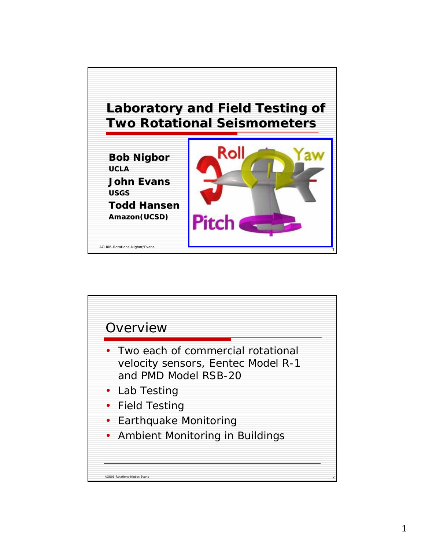

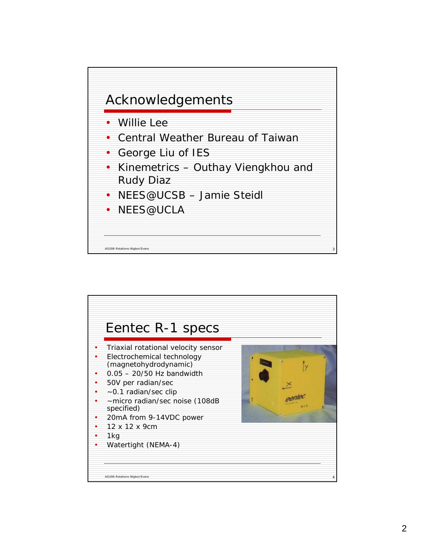

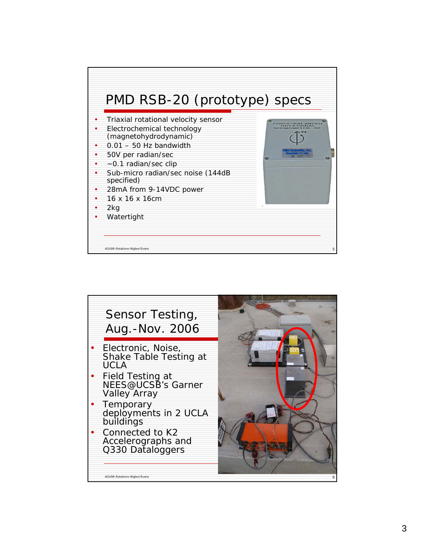

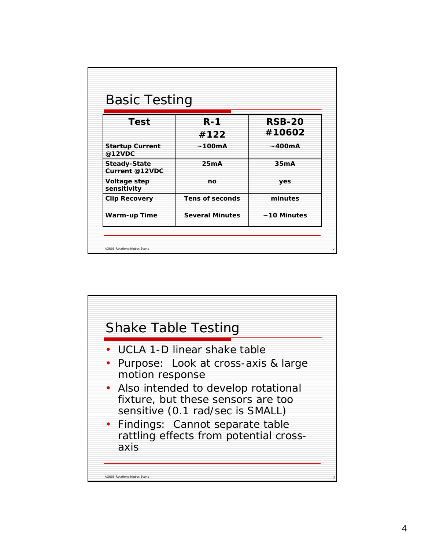| <b>Basic Testing</b>                  |                        |                  |
|---------------------------------------|------------------------|------------------|
| <b>Test</b>                           | $R - 1$                | <b>RSB-20</b>    |
|                                       | #122                   | #10602           |
| <b>Startup Current</b><br>@12VDC      | ~100mA                 | ~400mA           |
| <b>Steady-State</b><br>Current @12VDC | 25mA                   | 35 <sub>mA</sub> |
| Voltage step<br>sensitivity           | no                     | yes              |
| <b>Clip Recovery</b>                  | Tens of seconds        | minutes          |
| Warm-up Time                          | <b>Several Minutes</b> | ~10 Minutes      |

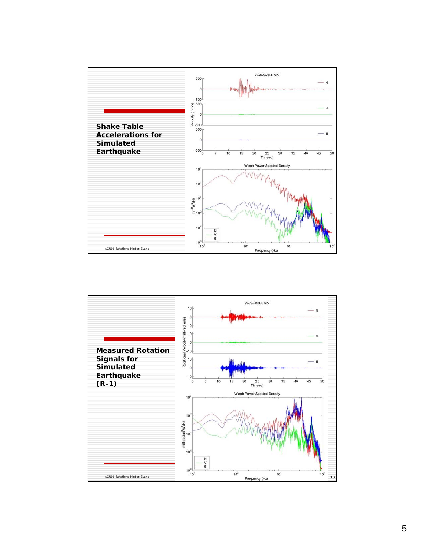

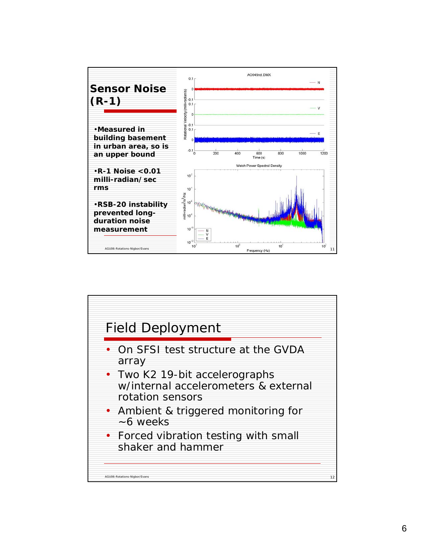

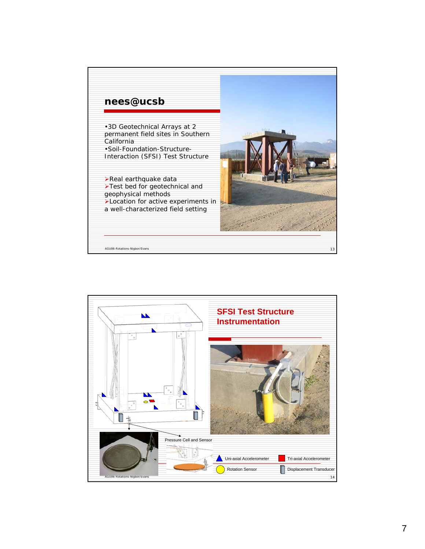

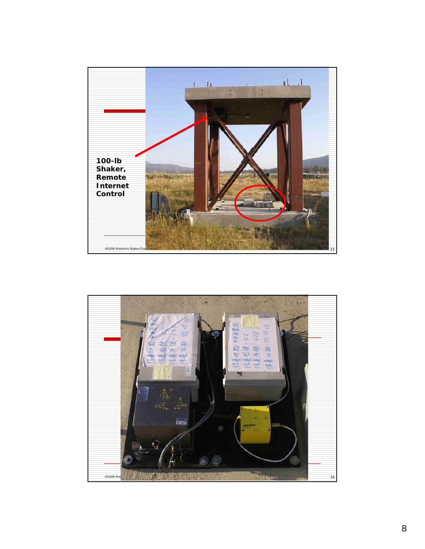

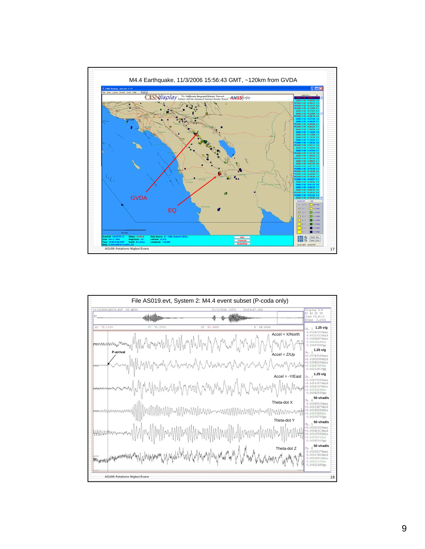

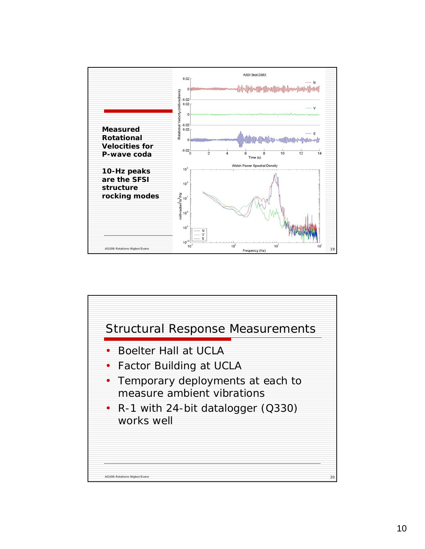

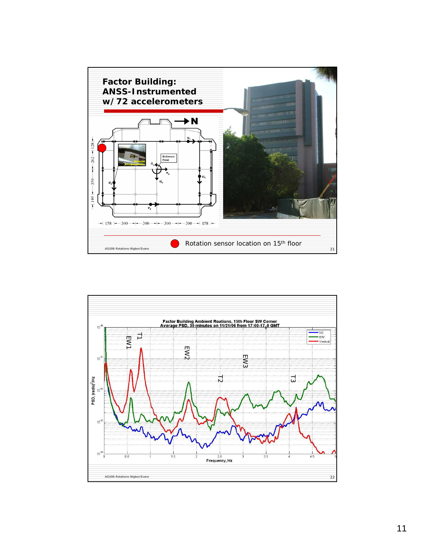